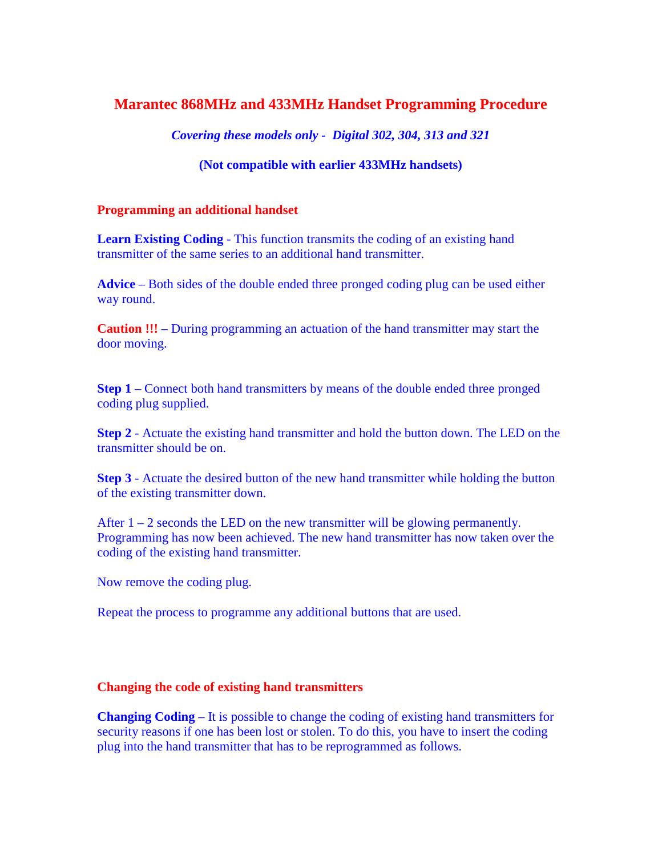# **Marantec 868MHz and 433MHz Handset Programming Procedure**

*Covering these models only - Digital 302, 304, 313 and 321* 

### **(Not compatible with earlier 433MHz handsets)**

#### **Programming an additional handset**

**Learn Existing Coding** - This function transmits the coding of an existing hand transmitter of the same series to an additional hand transmitter.

**Advice** – Both sides of the double ended three pronged coding plug can be used either way round.

**Caution !!!** – During programming an actuation of the hand transmitter may start the door moving.

**Step 1** – Connect both hand transmitters by means of the double ended three pronged coding plug supplied.

**Step 2** - Actuate the existing hand transmitter and hold the button down. The LED on the transmitter should be on.

**Step 3** - Actuate the desired button of the new hand transmitter while holding the button of the existing transmitter down.

After  $1 - 2$  seconds the LED on the new transmitter will be glowing permanently. Programming has now been achieved. The new hand transmitter has now taken over the coding of the existing hand transmitter.

Now remove the coding plug.

Repeat the process to programme any additional buttons that are used.

#### **Changing the code of existing hand transmitters**

**Changing Coding** – It is possible to change the coding of existing hand transmitters for security reasons if one has been lost or stolen. To do this, you have to insert the coding plug into the hand transmitter that has to be reprogrammed as follows.